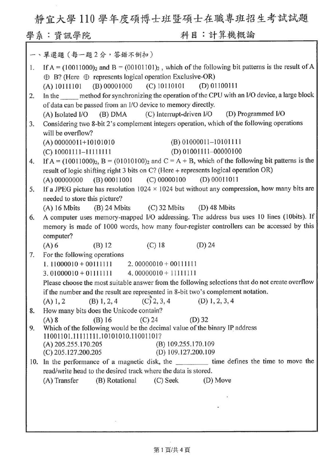靜宜大學 <sup>110</sup> 學年度碩博士班暨碩士在職專班招生考試試題

學象:資訊學院 科目:計算機概論

|     | 一、單選題 (每一題2分, 答錯不倒扣)                                                                                                                                                                                 |
|-----|------------------------------------------------------------------------------------------------------------------------------------------------------------------------------------------------------|
| 1.  | If $A = (10011000)$ <sub>2</sub> and $B = (00101101)$ <sub>2</sub> , which of the following bit patterns is the result of A<br>$\oplus$ B? (Here $\oplus$ represents logical operation Exclusive-OR) |
|     | (A) $10111101$ (B) 00001000 (C) 10110101 (D) 01100111                                                                                                                                                |
| 2.  | In the method for synchronizing the operation of the CPU with an I/O device, a large block                                                                                                           |
|     | of data can be passed from an I/O device to memory directly.                                                                                                                                         |
|     | (C) Interrupt-driven I/O (D) Programmed I/O<br>$(A)$ Isolated I/O $(B)$ DMA                                                                                                                          |
| 3.  | Considering two 8-bit 2's complement integers operation, which of the following operations                                                                                                           |
|     | will be overflow?                                                                                                                                                                                    |
|     | $(B) 01000011 - 10101111$<br>$(A)$ 00000011+10101010                                                                                                                                                 |
|     | $(D)$ 01001111-00000100<br>$(C)$ 10001111-111111111                                                                                                                                                  |
| 4.  | If A = $(10011000)_2$ , B = $(01010100)_2$ and C = A + B, which of the following bit patterns is the                                                                                                 |
|     | result of logic shifting right 3 bits on C? (Here + represents logical operation OR)                                                                                                                 |
|     | $(B) 00011001$ $(C) 00000100$ $(D) 00011011$<br>(A) 00000000                                                                                                                                         |
| 5.  | If a JPEG picture has resolution $1024 \times 1024$ but without any compression, how many bits are                                                                                                   |
|     | needed to store this picture?                                                                                                                                                                        |
|     | (A) 16 Mbits (B) 24 Mbits (C) 32 Mbits (D) 48 Mbits                                                                                                                                                  |
| 6.  | A computer uses memory-mapped I/O addressing. The address bus uses 10 lines (10bits). If                                                                                                             |
|     | memory is made of 1000 words, how many four-register controllers can be accessed by this                                                                                                             |
|     | computer?                                                                                                                                                                                            |
| 7.  | $(C)$ 18<br>$(D)$ 24<br>$(A)$ 6<br>$(B)$ 12<br>For the following operations                                                                                                                          |
|     | $1.11000010 + 00111111$ 2.00000010 + 00111111                                                                                                                                                        |
|     | $3.01000010 + 01111111$ 4.00000010 + 11111111                                                                                                                                                        |
|     | Please choose the most suitable answer from the following selections that do not create overflow                                                                                                     |
|     | if the number and the result are represented in 8-bit two's complement notation.                                                                                                                     |
|     | $(C)$ 2, 3, 4<br>$(D)$ 1, 2, 3, 4<br>$(B)$ 1, 2, 4<br>(A) 1, 2                                                                                                                                       |
| 8.  | How many bits does the Unicode contain?                                                                                                                                                              |
|     | $(C)$ 24<br>$(A)$ 8<br>$(B)$ 16<br>$(D)$ 32                                                                                                                                                          |
| 9.  | Which of the following would be the decimal value of the binary IP address                                                                                                                           |
|     | 11001101.11111111.10101010.11001101?                                                                                                                                                                 |
|     | (B) 109.255.170.109<br>$(A)$ 205.255.170.205                                                                                                                                                         |
|     | $(C)$ 205.127.200.205<br>(D) 109.127.200.109                                                                                                                                                         |
| 10. | In the performance of a magnetic disk, the ____________ time defines the time to move the<br>read/write head to the desired track where the data is stored.                                          |
|     | (B) Rotational<br>(C) Seek<br>(D) Move<br>(A) Transfer                                                                                                                                               |
|     |                                                                                                                                                                                                      |
|     |                                                                                                                                                                                                      |
|     |                                                                                                                                                                                                      |
|     |                                                                                                                                                                                                      |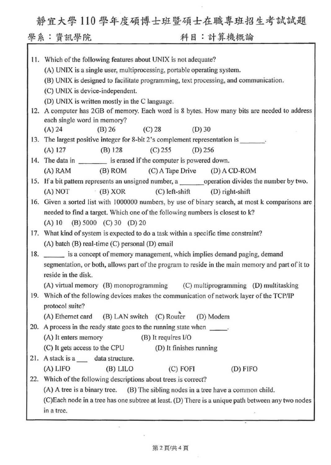靜宜大學110學年度碩博士班暨碩士在職專班招生考試試題

學系:資訊學院 科目:計算機概論

|     | 11. Which of the following features about UNIX is not adequate?                                   |
|-----|---------------------------------------------------------------------------------------------------|
|     | (A) UNIX is a single user, multiprocessing, portable operating system.                            |
|     | (B) UNIX is designed to facilitate programming, text processing, and communication.               |
|     | (C) UNIX is device-independent.                                                                   |
|     | (D) UNIX is written mostly in the C language.                                                     |
| 12. | A computer has 2GB of memory. Each word is 8 bytes. How many bits are needed to address           |
|     | each single word in memory?                                                                       |
|     | $(B)$ 26<br>(C) 28<br>$(D)$ 30<br>(A) 24                                                          |
|     | 13. The largest positive integer for 8-bit 2's complement representation is _______.              |
|     | $(A)$ 127<br>(B) 128<br>$(C)$ 255<br>$(D)$ 256                                                    |
|     | 14. The data in __________ is erased if the computer is powered down.                             |
|     | (A) RAM (B) ROM (C) A Tape Drive (D) A CD-ROM                                                     |
|     |                                                                                                   |
|     | (A) NOT<br>(B) XOR<br>$(C)$ left-shift $(D)$ right-shift                                          |
|     | 16. Given a sorted list with 1000000 numbers, by use of binary search, at most k comparisons are  |
|     | needed to find a target. Which one of the following numbers is closest to k?                      |
|     | $(A) 10$ $(B) 5000$ $(C) 30$ $(D) 20$                                                             |
|     | 17. What kind of system is expected to do a task within a specific time constraint?               |
|     | (A) batch (B) real-time (C) personal (D) email                                                    |
| 18. | is a concept of memory management, which implies demand paging, demand                            |
|     | segmentation, or both, allows part of the program to reside in the main memory and part of it to  |
|     | reside in the disk.                                                                               |
|     | (A) virtual memory (B) monoprogramming (C) multiprogramming (D) multitasking                      |
|     | 19. Which of the following devices makes the communication of network layer of the TCP/IP         |
|     | protocol suite?                                                                                   |
|     | (A) Ethernet card (B) LAN switch (C) Router<br>(D) Modem                                          |
|     | 20. A process in the ready state goes to the running state when ______.                           |
|     | (A) It enters memory<br>(B) It requires I/O                                                       |
|     | (C) It gets access to the CPU<br>(D) It finishes running                                          |
|     | 21. A stack is a _____ data structure.                                                            |
|     | (A) LIFO<br>(B) LILO<br>$(C)$ FOFI<br>(D) FIFO                                                    |
| 22. | Which of the following descriptions about trees is correct?                                       |
|     | (A) A tree is a binary tree. (B) The sibling nodes in a tree have a common child.                 |
|     | (C)Each node in a tree has one subtree at least. (D) There is a unique path between any two nodes |
|     | in a tree.                                                                                        |

## 第2頁/共4頁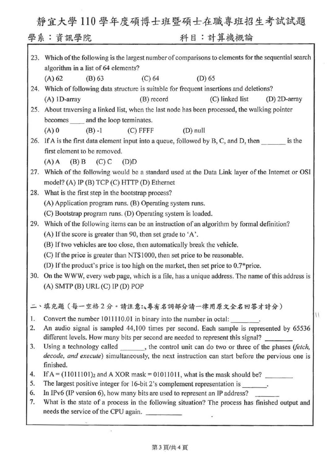靜宜大學 <sup>110</sup> 學年度碩博士班暨碩士在職專班招生考試試題

٦

| 23. | Which of the following is the largest number of comparisons to elements for the sequential search           |  |
|-----|-------------------------------------------------------------------------------------------------------------|--|
|     | algorithm in a list of 64 elements?                                                                         |  |
|     | $(D)$ 65<br>(A) 62<br>(B) 63<br>$(C)$ 64                                                                    |  |
|     | 24. Which of following data structure is suitable for frequent insertions and deletions?                    |  |
|     | $(A)$ 1D-array<br>(B) record<br>(C) linked list<br>(D) 2D-array                                             |  |
| 25. | About traversing a linked list, when the last node has been processed, the walking pointer                  |  |
|     | becomes _____ and the loop terminates.                                                                      |  |
|     | $(A)$ 0<br>$(B) -1$ (C) FFFF<br>$(D)$ null                                                                  |  |
|     | 26. If A is the first data element input into a queue, followed by B, C, and D, then _______ is the         |  |
|     | first element to be removed.                                                                                |  |
|     | $(B)$ B<br>$(C)$ C<br>$(A)$ A<br>(D)D                                                                       |  |
| 27. | Which of the following would be a standard used at the Data Link layer of the Internet or OSI               |  |
|     | model? (A) IP (B) TCP (C) HTTP (D) Ethernet                                                                 |  |
| 28. | What is the first step in the bootstrap process?                                                            |  |
|     | (A) Application program runs. (B) Operating system runs.                                                    |  |
|     | (C) Bootstrap program runs. (D) Operating system is loaded.                                                 |  |
| 29. | Which of the following items can be an instruction of an algorithm by formal definition?                    |  |
|     | (A) If the score is greater than 90, then set grade to 'A'.                                                 |  |
|     | (B) If two vehicles are too close, then automatically break the vehicle.                                    |  |
|     | (C) If the price is greater than NT\$1000, then set price to be reasonable.                                 |  |
|     | (D) If the product's price is too high on the market, then set price to 0.7*price.                          |  |
| 30. | On the WWW, every web page, which is a file, has a unique address. The name of this address is              |  |
|     | $(A)$ SMTP $(B)$ URL $(C)$ IP $(D)$ POP                                                                     |  |
|     |                                                                                                             |  |
|     | 二、填充題 (每一空格2分。請注意:4專有名詞部分請一律用原文全名回答才計分)                                                                     |  |
| 1.  | Convert the number 1011110.01 in binary into the number in octal:                                           |  |
| 2.  | An audio signal is sampled 44,100 times per second. Each sample is represented by 65536                     |  |
|     | different levels. How many bits per second are needed to represent this signal?                             |  |
| 3.  | Using a technology called _______, the control unit can do two or three of the phases (fetch,               |  |
|     | decode, and execute) simultaneously, the next instruction can start before the pervious one is<br>finished. |  |
| 4.  | If $A = (11011101)_2$ and A XOR mask = 01011011, what is the mask should be?                                |  |
| 5.  | The largest positive integer for 16-bit 2's complement representation is                                    |  |
| 6.  | In IPv6 (IP version 6), how many bits are used to represent an IP address?                                  |  |
| 7.  | What is the state of a process in the following situation? The process has finished output and              |  |
|     | needs the service of the CPU again.                                                                         |  |
|     |                                                                                                             |  |